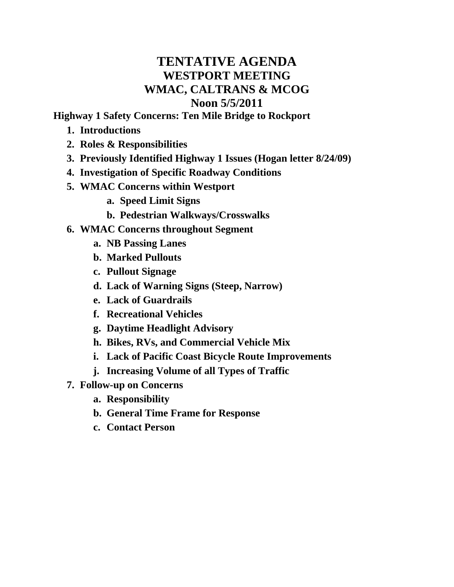## **TENTATIVE AGENDA WESTPORT MEETING WMAC, CALTRANS & MCOG Noon 5/5/2011**

**Highway 1 Safety Concerns: Ten Mile Bridge to Rockport**

- **1. Introductions**
- **2. Roles & Responsibilities**
- **3. Previously Identified Highway 1 Issues (Hogan letter 8/24/09)**
- **4. Investigation of Specific Roadway Conditions**
- **5. WMAC Concerns within Westport**
	- **a. Speed Limit Signs**
	- **b. Pedestrian Walkways/Crosswalks**
- **6. WMAC Concerns throughout Segment**
	- **a. NB Passing Lanes**
	- **b. Marked Pullouts**
	- **c. Pullout Signage**
	- **d. Lack of Warning Signs (Steep, Narrow)**
	- **e. Lack of Guardrails**
	- **f. Recreational Vehicles**
	- **g. Daytime Headlight Advisory**
	- **h. Bikes, RVs, and Commercial Vehicle Mix**
	- **i. Lack of Pacific Coast Bicycle Route Improvements**
	- **j. Increasing Volume of all Types of Traffic**
- **7. Follow-up on Concerns**
	- **a. Responsibility**
	- **b. General Time Frame for Response**
	- **c. Contact Person**